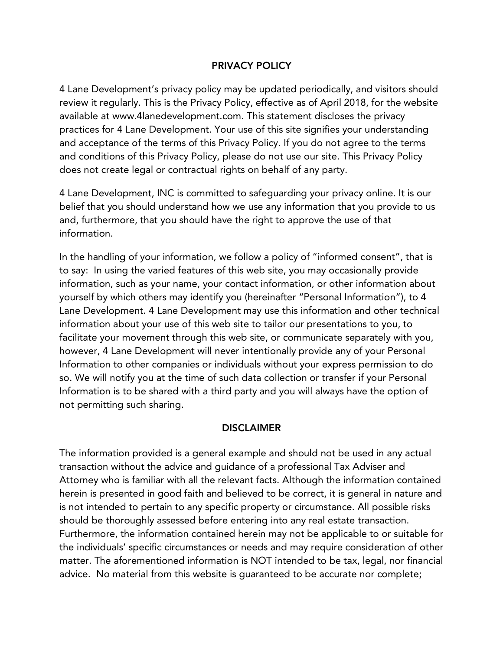## PRIVACY POLICY

4 Lane Development's privacy policy may be updated periodically, and visitors should review it regularly. This is the Privacy Policy, effective as of April 2018, for the website available at www.4lanedevelopment.com. This statement discloses the privacy practices for 4 Lane Development. Your use of this site signifies your understanding and acceptance of the terms of this Privacy Policy. If you do not agree to the terms and conditions of this Privacy Policy, please do not use our site. This Privacy Policy does not create legal or contractual rights on behalf of any party.

4 Lane Development, INC is committed to safeguarding your privacy online. It is our belief that you should understand how we use any information that you provide to us and, furthermore, that you should have the right to approve the use of that information.

In the handling of your information, we follow a policy of "informed consent", that is to say: In using the varied features of this web site, you may occasionally provide information, such as your name, your contact information, or other information about yourself by which others may identify you (hereinafter "Personal Information"), to 4 Lane Development. 4 Lane Development may use this information and other technical information about your use of this web site to tailor our presentations to you, to facilitate your movement through this web site, or communicate separately with you, however, 4 Lane Development will never intentionally provide any of your Personal Information to other companies or individuals without your express permission to do so. We will notify you at the time of such data collection or transfer if your Personal Information is to be shared with a third party and you will always have the option of not permitting such sharing.

## **DISCLAIMER**

The information provided is a general example and should not be used in any actual transaction without the advice and guidance of a professional Tax Adviser and Attorney who is familiar with all the relevant facts. Although the information contained herein is presented in good faith and believed to be correct, it is general in nature and is not intended to pertain to any specific property or circumstance. All possible risks should be thoroughly assessed before entering into any real estate transaction. Furthermore, the information contained herein may not be applicable to or suitable for the individuals' specific circumstances or needs and may require consideration of other matter. The aforementioned information is NOT intended to be tax, legal, nor financial advice. No material from this website is guaranteed to be accurate nor complete;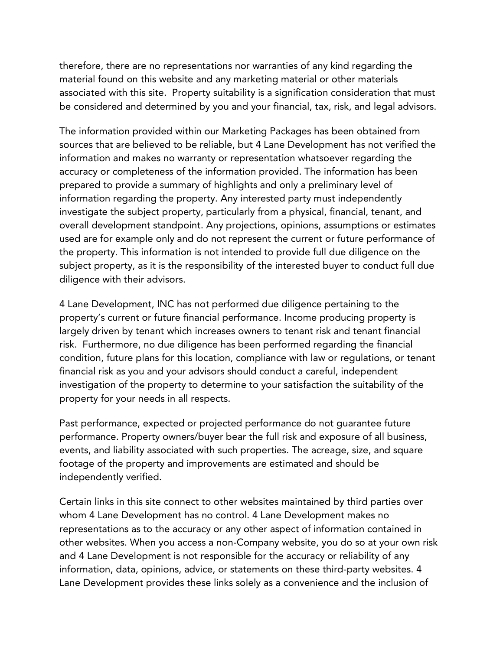therefore, there are no representations nor warranties of any kind regarding the material found on this website and any marketing material or other materials associated with this site. Property suitability is a signification consideration that must be considered and determined by you and your financial, tax, risk, and legal advisors.

The information provided within our Marketing Packages has been obtained from sources that are believed to be reliable, but 4 Lane Development has not verified the information and makes no warranty or representation whatsoever regarding the accuracy or completeness of the information provided. The information has been prepared to provide a summary of highlights and only a preliminary level of information regarding the property. Any interested party must independently investigate the subject property, particularly from a physical, financial, tenant, and overall development standpoint. Any projections, opinions, assumptions or estimates used are for example only and do not represent the current or future performance of the property. This information is not intended to provide full due diligence on the subject property, as it is the responsibility of the interested buyer to conduct full due diligence with their advisors.

4 Lane Development, INC has not performed due diligence pertaining to the property's current or future financial performance. Income producing property is largely driven by tenant which increases owners to tenant risk and tenant financial risk. Furthermore, no due diligence has been performed regarding the financial condition, future plans for this location, compliance with law or regulations, or tenant financial risk as you and your advisors should conduct a careful, independent investigation of the property to determine to your satisfaction the suitability of the property for your needs in all respects.

Past performance, expected or projected performance do not guarantee future performance. Property owners/buyer bear the full risk and exposure of all business, events, and liability associated with such properties. The acreage, size, and square footage of the property and improvements are estimated and should be independently verified.

Certain links in this site connect to other websites maintained by third parties over whom 4 Lane Development has no control. 4 Lane Development makes no representations as to the accuracy or any other aspect of information contained in other websites. When you access a non-Company website, you do so at your own risk and 4 Lane Development is not responsible for the accuracy or reliability of any information, data, opinions, advice, or statements on these third-party websites. 4 Lane Development provides these links solely as a convenience and the inclusion of